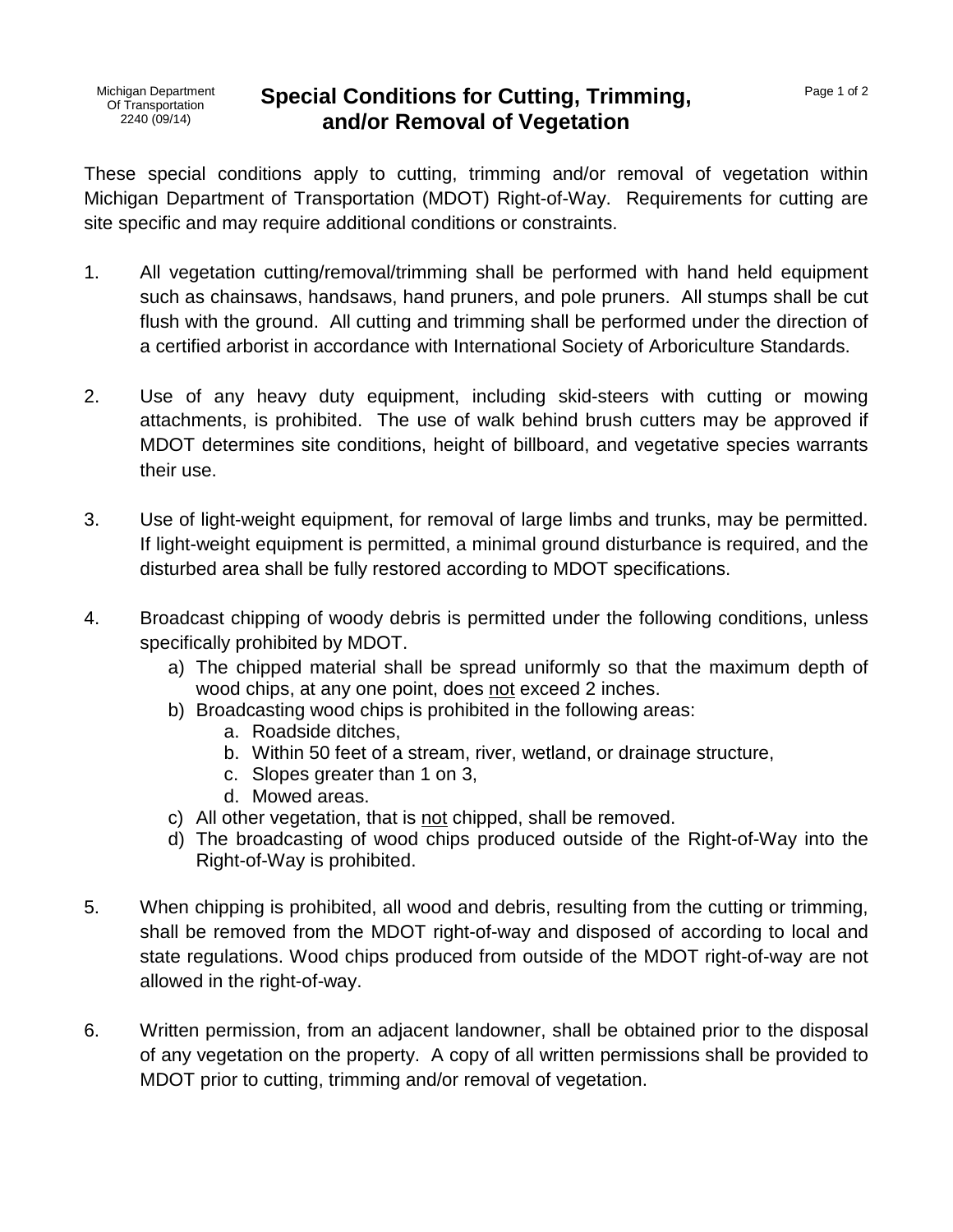## **Special Conditions for Cutting, Trimming, and/or Removal of Vegetation**

These special conditions apply to cutting, trimming and/or removal of vegetation within Michigan Department of Transportation (MDOT) Right-of-Way. Requirements for cutting are site specific and may require additional conditions or constraints.

- 1. All vegetation cutting/removal/trimming shall be performed with hand held equipment such as chainsaws, handsaws, hand pruners, and pole pruners. All stumps shall be cut flush with the ground. All cutting and trimming shall be performed under the direction of a certified arborist in accordance with International Society of Arboriculture Standards.
- 2. Use of any heavy duty equipment, including skid-steers with cutting or mowing attachments, is prohibited. The use of walk behind brush cutters may be approved if MDOT determines site conditions, height of billboard, and vegetative species warrants their use.
- 3. Use of light-weight equipment, for removal of large limbs and trunks, may be permitted. If light-weight equipment is permitted, a minimal ground disturbance is required, and the disturbed area shall be fully restored according to MDOT specifications.
- 4. Broadcast chipping of woody debris is permitted under the following conditions, unless specifically prohibited by MDOT.
	- a) The chipped material shall be spread uniformly so that the maximum depth of wood chips, at any one point, does not exceed 2 inches.
	- b) Broadcasting wood chips is prohibited in the following areas:
		- a. Roadside ditches,
		- b. Within 50 feet of a stream, river, wetland, or drainage structure,
		- c. Slopes greater than 1 on 3,
		- d. Mowed areas.
	- c) All other vegetation, that is not chipped, shall be removed.
	- d) The broadcasting of wood chips produced outside of the Right-of-Way into the Right-of-Way is prohibited.
- 5. When chipping is prohibited, all wood and debris, resulting from the cutting or trimming, shall be removed from the MDOT right-of-way and disposed of according to local and state regulations. Wood chips produced from outside of the MDOT right-of-way are not allowed in the right-of-way.
- 6. Written permission, from an adjacent landowner, shall be obtained prior to the disposal of any vegetation on the property. A copy of all written permissions shall be provided to MDOT prior to cutting, trimming and/or removal of vegetation.